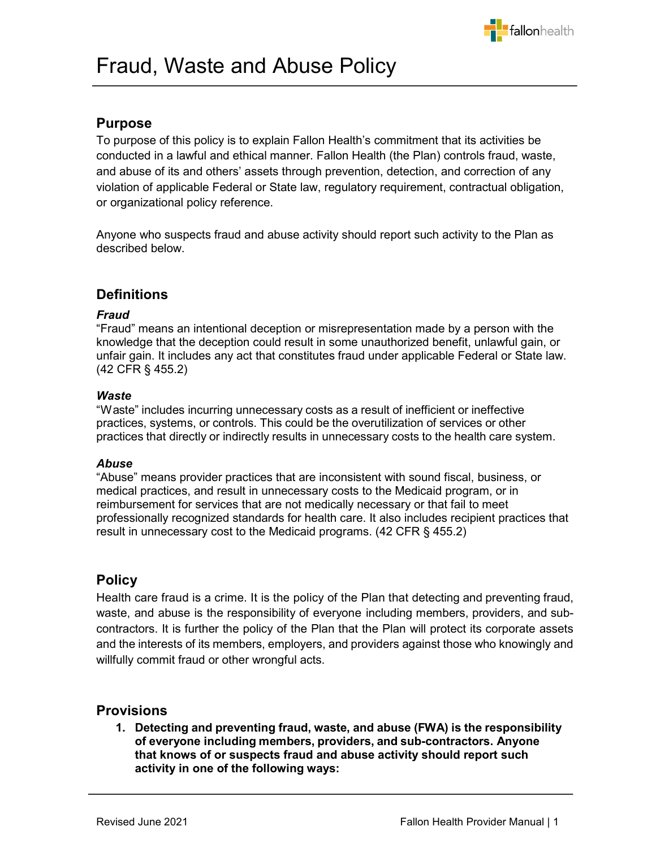

### **Purpose**

To purpose of this policy is to explain Fallon Health's commitment that its activities be conducted in a lawful and ethical manner. Fallon Health (the Plan) controls fraud, waste, and abuse of its and others' assets through prevention, detection, and correction of any violation of applicable Federal or State law, regulatory requirement, contractual obligation, or organizational policy reference.

j

Anyone who suspects fraud and abuse activity should report such activity to the Plan as described below.

### **Definitions**

### *Fraud*

"Fraud" means an intentional deception or misrepresentation made by a person with the knowledge that the deception could result in some unauthorized benefit, unlawful gain, or unfair gain. It includes any act that constitutes fraud under applicable Federal or State law. (42 CFR § 455.2)

#### *Waste*

"Waste" includes incurring unnecessary costs as a result of inefficient or ineffective practices, systems, or controls. This could be the overutilization of services or other practices that directly or indirectly results in unnecessary costs to the health care system.

#### *Abuse*

"Abuse" means provider practices that are inconsistent with sound fiscal, business, or medical practices, and result in unnecessary costs to the Medicaid program, or in reimbursement for services that are not medically necessary or that fail to meet professionally recognized standards for health care. It also includes recipient practices that result in unnecessary cost to the Medicaid programs. (42 CFR § 455.2)

## **Policy**

Health care fraud is a crime. It is the policy of the Plan that detecting and preventing fraud, waste, and abuse is the responsibility of everyone including members, providers, and subcontractors. It is further the policy of the Plan that the Plan will protect its corporate assets and the interests of its members, employers, and providers against those who knowingly and willfully commit fraud or other wrongful acts.

### **Provisions**

**1. Detecting and preventing fraud, waste, and abuse (FWA) is the responsibility of everyone including members, providers, and sub-contractors. Anyone that knows of or suspects fraud and abuse activity should report such activity in one of the following ways:**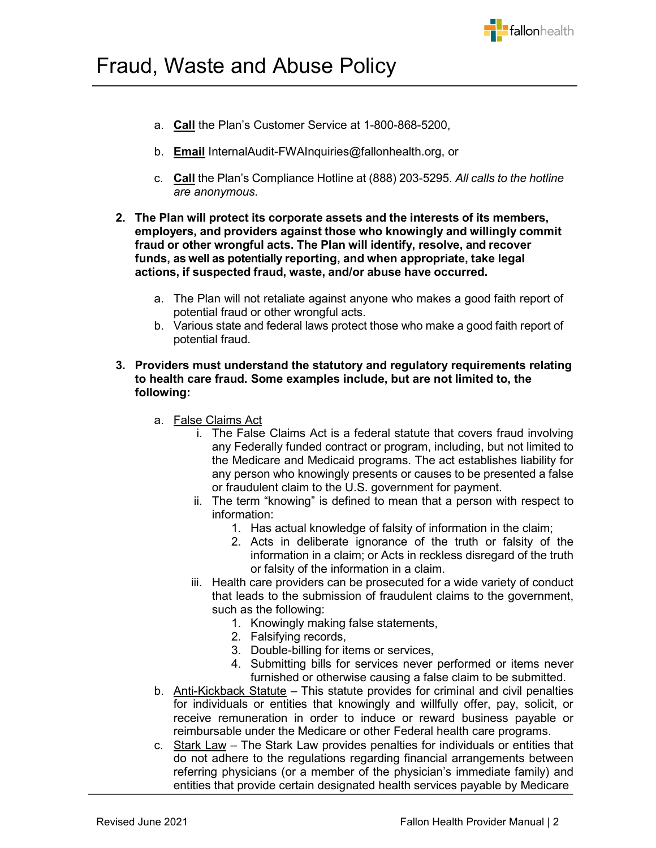

- a. **Call** the Plan's Customer Service at 1-800-868-5200,
- b. **Email** InternalAudit-FWAInquiries@fallonhealth.org, or
- c. **Call** the Plan's Compliance Hotline at (888) 203-5295. *All calls to the hotline are anonymous*.
- **2. The Plan will protect its corporate assets and the interests of its members, employers, and providers against those who knowingly and willingly commit fraud or other wrongful acts. The Plan will identify, resolve, and recover funds, as well as potentially reporting, and when appropriate, take legal actions, if suspected fraud, waste, and/or abuse have occurred.**

j

- a. The Plan will not retaliate against anyone who makes a good faith report of potential fraud or other wrongful acts.
- b. Various state and federal laws protect those who make a good faith report of potential fraud.
- **3. Providers must understand the statutory and regulatory requirements relating to health care fraud. Some examples include, but are not limited to, the following:**
	- a. False Claims Act
		- i. The False Claims Act is a federal statute that covers fraud involving any Federally funded contract or program, including, but not limited to the Medicare and Medicaid programs. The act establishes liability for any person who knowingly presents or causes to be presented a false or fraudulent claim to the U.S. government for payment.
		- ii. The term "knowing" is defined to mean that a person with respect to information:
			- 1. Has actual knowledge of falsity of information in the claim;
			- 2. Acts in deliberate ignorance of the truth or falsity of the information in a claim; or Acts in reckless disregard of the truth or falsity of the information in a claim.
		- iii. Health care providers can be prosecuted for a wide variety of conduct that leads to the submission of fraudulent claims to the government, such as the following:
			- 1. Knowingly making false statements,
			- 2. Falsifying records,
			- 3. Double-billing for items or services,
			- 4. Submitting bills for services never performed or items never furnished or otherwise causing a false claim to be submitted.
	- b. Anti-Kickback Statute This statute provides for criminal and civil penalties for individuals or entities that knowingly and willfully offer, pay, solicit, or receive remuneration in order to induce or reward business payable or reimbursable under the Medicare or other Federal health care programs.
	- c. Stark Law The Stark Law provides penalties for individuals or entities that do not adhere to the regulations regarding financial arrangements between referring physicians (or a member of the physician's immediate family) and entities that provide certain designated health services payable by Medicare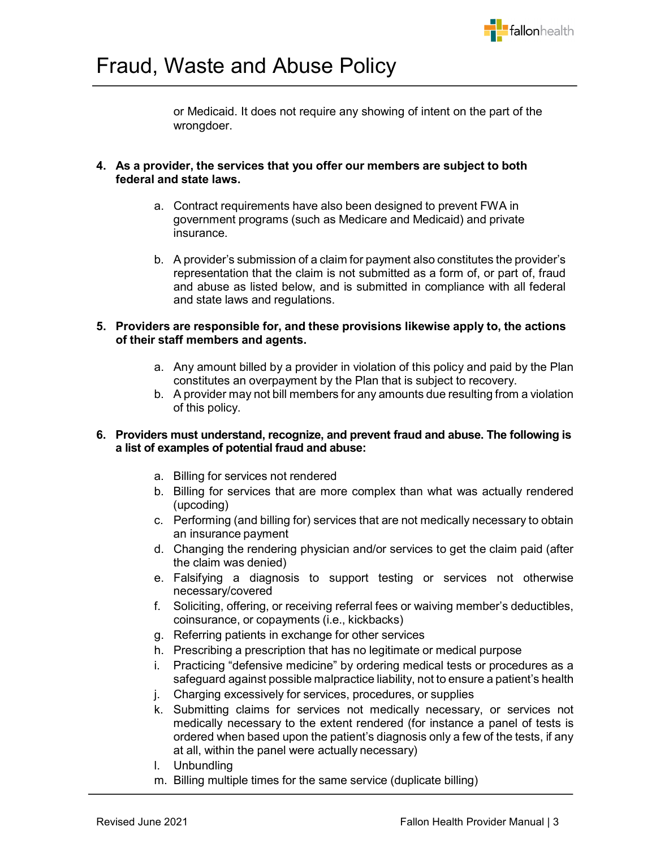

or Medicaid. It does not require any showing of intent on the part of the wrongdoer.

### **4. As a provider, the services that you offer our members are subject to both [federal](https://www.magellanprovider.com/MHS/MGL/about/handbooks/state_false_claims_laws.pdf) and state laws.**

- a. Contract requirements have also been designed to prevent FWA in government programs (such as Medicare and Medicaid) and private insurance.
- b. A provider's submission of a claim for payment also constitutes the provider's representation that the claim is not submitted as a form of, or part of, fraud and abuse as listed below, and is submitted in compliance with all federal and state laws and regulations.

### **5. Providers are responsible for, and these provisions likewise apply to, the actions of their staff members and agents.**

- a. Any amount billed by a provider in violation of this policy and paid by the Plan constitutes an overpayment by the Plan that is subject to recovery.
- b. A provider may not bill members for any amounts due resulting from a violation of this policy.

### **6. Providers must understand, recognize, and prevent fraud and abuse. The following is a list of examples of potential fraud and abuse:**

- a. Billing for services not rendered
- b. Billing for services that are more complex than what was actually rendered (upcoding)
- c. Performing (and billing for) services that are not medically necessary to obtain an insurance payment
- d. Changing the rendering physician and/or services to get the claim paid (after the claim was denied)
- e. Falsifying a diagnosis to support testing or services not otherwise necessary/covered
- f. Soliciting, offering, or receiving referral fees or waiving member's deductibles, coinsurance, or copayments (i.e., kickbacks)
- g. Referring patients in exchange for other services
- h. Prescribing a prescription that has no legitimate or medical purpose
- i. Practicing "defensive medicine" by ordering medical tests or procedures as a safeguard against possible malpractice liability, not to ensure a patient's health
- j. Charging excessively for services, procedures, or supplies
- k. Submitting claims for services not medically necessary, or services not medically necessary to the extent rendered (for instance a panel of tests is ordered when based upon the patient's diagnosis only a few of the tests, if any at all, within the panel were actually necessary)
- l. Unbundling
- m. Billing multiple times for the same service (duplicate billing)